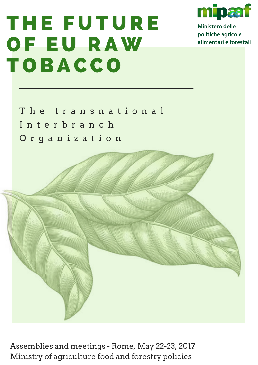# T H E F U T U RE O F E U RAW T O BACC O



Ministero delle politiche agricole alimentari e forestali

The transnational I n t e r b r a n c h O r g a n i z a t i o n

 $\mathcal{L}_\mathcal{L} = \mathcal{L}_\mathcal{L} + \mathcal{L}_\mathcal{L} + \mathcal{L}_\mathcal{L} + \mathcal{L}_\mathcal{L} + \mathcal{L}_\mathcal{L} + \mathcal{L}_\mathcal{L} + \mathcal{L}_\mathcal{L} + \mathcal{L}_\mathcal{L} + \mathcal{L}_\mathcal{L} + \mathcal{L}_\mathcal{L} + \mathcal{L}_\mathcal{L} + \mathcal{L}_\mathcal{L} + \mathcal{L}_\mathcal{L} + \mathcal{L}_\mathcal{L} + \mathcal{L}_\mathcal{L} + \mathcal{L}_\mathcal{L}$ 



Assemblies and meetings - Rome, May 22-23, 2017 Ministry of agriculture food and forestry policies